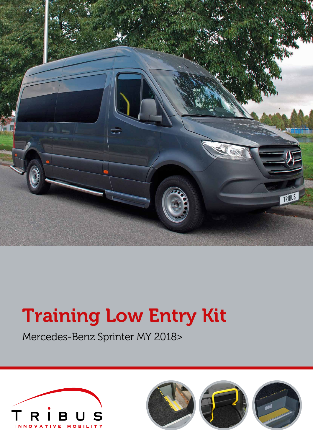

# Training Low Entry Kit

Mercedes-Benz Sprinter MY 2018>